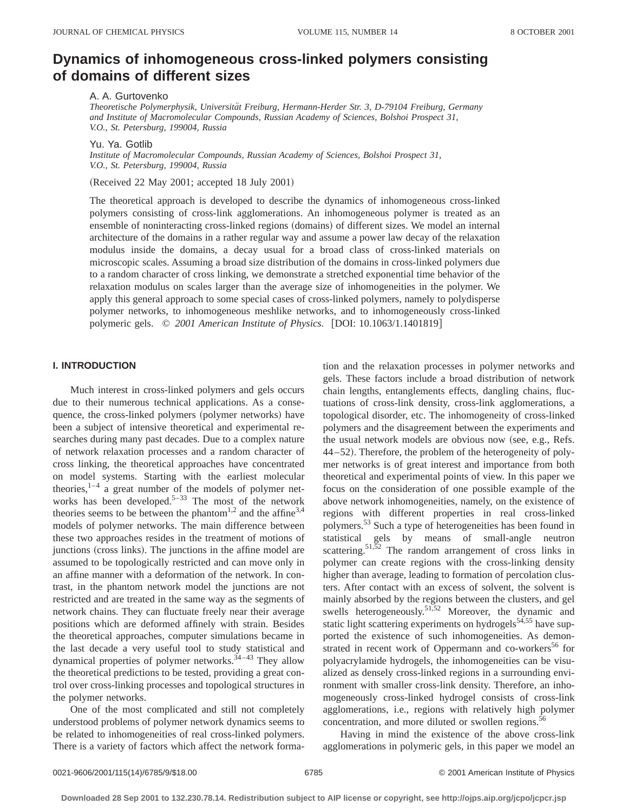# **Dynamics of inhomogeneous cross-linked polymers consisting of domains of different sizes**

A. A. Gurtovenko

*Theoretische Polymerphysik, Universita¨t Freiburg, Hermann-Herder Str. 3, D-79104 Freiburg, Germany and Institute of Macromolecular Compounds, Russian Academy of Sciences, Bolshoi Prospect 31, V.O., St. Petersburg, 199004, Russia*

Yu. Ya. Gotlib

*Institute of Macromolecular Compounds, Russian Academy of Sciences, Bolshoi Prospect 31, V.O., St. Petersburg, 199004, Russia*

(Received 22 May 2001; accepted 18 July 2001)

The theoretical approach is developed to describe the dynamics of inhomogeneous cross-linked polymers consisting of cross-link agglomerations. An inhomogeneous polymer is treated as an ensemble of noninteracting cross-linked regions (domains) of different sizes. We model an internal architecture of the domains in a rather regular way and assume a power law decay of the relaxation modulus inside the domains, a decay usual for a broad class of cross-linked materials on microscopic scales. Assuming a broad size distribution of the domains in cross-linked polymers due to a random character of cross linking, we demonstrate a stretched exponential time behavior of the relaxation modulus on scales larger than the average size of inhomogeneities in the polymer. We apply this general approach to some special cases of cross-linked polymers, namely to polydisperse polymer networks, to inhomogeneous meshlike networks, and to inhomogeneously cross-linked polymeric gels.  $\degree$  2001 American Institute of Physics. [DOI: 10.1063/1.1401819]

# **I. INTRODUCTION**

Much interest in cross-linked polymers and gels occurs due to their numerous technical applications. As a consequence, the cross-linked polymers (polymer networks) have been a subject of intensive theoretical and experimental researches during many past decades. Due to a complex nature of network relaxation processes and a random character of cross linking, the theoretical approaches have concentrated on model systems. Starting with the earliest molecular theories, $1-4$  a great number of the models of polymer networks has been developed.<sup>5–33</sup> The most of the network theories seems to be between the phantom<sup>1,2</sup> and the affine<sup>3,4</sup> models of polymer networks. The main difference between these two approaches resides in the treatment of motions of junctions (cross links). The junctions in the affine model are assumed to be topologically restricted and can move only in an affine manner with a deformation of the network. In contrast, in the phantom network model the junctions are not restricted and are treated in the same way as the segments of network chains. They can fluctuate freely near their average positions which are deformed affinely with strain. Besides the theoretical approaches, computer simulations became in the last decade a very useful tool to study statistical and dynamical properties of polymer networks.<sup> $34-43$ </sup> They allow the theoretical predictions to be tested, providing a great control over cross-linking processes and topological structures in the polymer networks.

One of the most complicated and still not completely understood problems of polymer network dynamics seems to be related to inhomogeneities of real cross-linked polymers. There is a variety of factors which affect the network forma-

tion and the relaxation processes in polymer networks and gels. These factors include a broad distribution of network chain lengths, entanglements effects, dangling chains, fluctuations of cross-link density, cross-link agglomerations, a topological disorder, etc. The inhomogeneity of cross-linked polymers and the disagreement between the experiments and the usual network models are obvious now (see, e.g., Refs. 44–52). Therefore, the problem of the heterogeneity of polymer networks is of great interest and importance from both theoretical and experimental points of view. In this paper we focus on the consideration of one possible example of the above network inhomogeneities, namely, on the existence of regions with different properties in real cross-linked polymers.53 Such a type of heterogeneities has been found in statistical gels by means of small-angle neutron scattering.<sup>51,52</sup> The random arrangement of cross links in polymer can create regions with the cross-linking density higher than average, leading to formation of percolation clusters. After contact with an excess of solvent, the solvent is mainly absorbed by the regions between the clusters, and gel swells heterogeneously.<sup>51,52</sup> Moreover, the dynamic and static light scattering experiments on hydrogels $54,55$  have supported the existence of such inhomogeneities. As demonstrated in recent work of Oppermann and co-workers<sup>56</sup> for polyacrylamide hydrogels, the inhomogeneities can be visualized as densely cross-linked regions in a surrounding environment with smaller cross-link density. Therefore, an inhomogeneously cross-linked hydrogel consists of cross-link agglomerations, i.e., regions with relatively high polymer concentration, and more diluted or swollen regions.<sup>56</sup>

Having in mind the existence of the above cross-link agglomerations in polymeric gels, in this paper we model an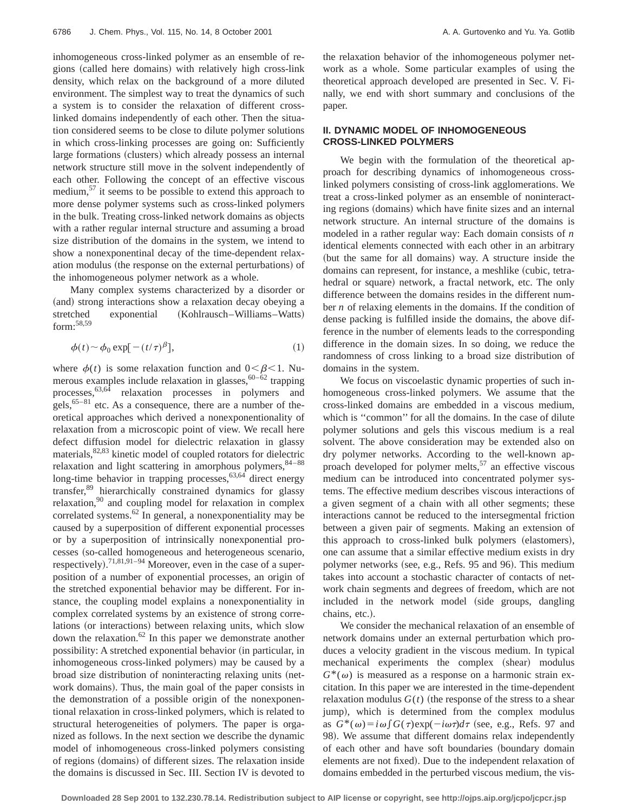inhomogeneous cross-linked polymer as an ensemble of regions (called here domains) with relatively high cross-link density, which relax on the background of a more diluted environment. The simplest way to treat the dynamics of such a system is to consider the relaxation of different crosslinked domains independently of each other. Then the situation considered seems to be close to dilute polymer solutions in which cross-linking processes are going on: Sufficiently large formations (clusters) which already possess an internal network structure still move in the solvent independently of each other. Following the concept of an effective viscous medium,<sup>57</sup> it seems to be possible to extend this approach to more dense polymer systems such as cross-linked polymers in the bulk. Treating cross-linked network domains as objects with a rather regular internal structure and assuming a broad size distribution of the domains in the system, we intend to show a nonexponentinal decay of the time-dependent relaxation modulus (the response on the external perturbations) of the inhomogeneous polymer network as a whole.

Many complex systems characterized by a disorder or (and) strong interactions show a relaxation decay obeying a stretched exponential (Kohlrausch–Williams–Watts) form:58,59

$$
\phi(t) \sim \phi_0 \exp[-(t/\tau)^{\beta}], \tag{1}
$$

where  $\phi(t)$  is some relaxation function and  $0 < \beta < 1$ . Numerous examples include relaxation in glasses,  $60-\dot{6}2$  trapping processes,  $63,64$  relaxation processes in polymers and gels,  $65-81$  etc. As a consequence, there are a number of theoretical approaches which derived a nonexponentionality of relaxation from a microscopic point of view. We recall here defect diffusion model for dielectric relaxation in glassy materials,<sup>82,83</sup> kinetic model of coupled rotators for dielectric relaxation and light scattering in amorphous polymers,  $84-88$ long-time behavior in trapping processes,  $63,64$  direct energy transfer,<sup>89</sup> hierarchically constrained dynamics for glassy relaxation,<sup>90</sup> and coupling model for relaxation in complex correlated systems.62 In general, a nonexponentiality may be caused by a superposition of different exponential processes or by a superposition of intrinsically nonexponential processes (so-called homogeneous and heterogeneous scenario, respectively).<sup>71,81,91–94</sup> Moreover, even in the case of a superposition of a number of exponential processes, an origin of the stretched exponential behavior may be different. For instance, the coupling model explains a nonexponentiality in complex correlated systems by an existence of strong correlations (or interactions) between relaxing units, which slow down the relaxation.<sup>62</sup> In this paper we demonstrate another possibility: A stretched exponential behavior (in particular, in inhomogeneous cross-linked polymers) may be caused by a broad size distribution of noninteracting relaxing units (network domains). Thus, the main goal of the paper consists in the demonstration of a possible origin of the nonexponentional relaxation in cross-linked polymers, which is related to structural heterogeneities of polymers. The paper is organized as follows. In the next section we describe the dynamic model of inhomogeneous cross-linked polymers consisting of regions (domains) of different sizes. The relaxation inside the domains is discussed in Sec. III. Section IV is devoted to the relaxation behavior of the inhomogeneous polymer network as a whole. Some particular examples of using the theoretical approach developed are presented in Sec. V. Finally, we end with short summary and conclusions of the paper.

## **II. DYNAMIC MODEL OF INHOMOGENEOUS CROSS-LINKED POLYMERS**

We begin with the formulation of the theoretical approach for describing dynamics of inhomogeneous crosslinked polymers consisting of cross-link agglomerations. We treat a cross-linked polymer as an ensemble of noninteracting regions (domains) which have finite sizes and an internal network structure. An internal structure of the domains is modeled in a rather regular way: Each domain consists of *n* identical elements connected with each other in an arbitrary (but the same for all domains) way. A structure inside the domains can represent, for instance, a meshlike (cubic, tetrahedral or square) network, a fractal network, etc. The only difference between the domains resides in the different number *n* of relaxing elements in the domains. If the condition of dense packing is fulfilled inside the domains, the above difference in the number of elements leads to the corresponding difference in the domain sizes. In so doing, we reduce the randomness of cross linking to a broad size distribution of domains in the system.

We focus on viscoelastic dynamic properties of such inhomogeneous cross-linked polymers. We assume that the cross-linked domains are embedded in a viscous medium, which is "common" for all the domains. In the case of dilute polymer solutions and gels this viscous medium is a real solvent. The above consideration may be extended also on dry polymer networks. According to the well-known approach developed for polymer melts, $57$  an effective viscous medium can be introduced into concentrated polymer systems. The effective medium describes viscous interactions of a given segment of a chain with all other segments; these interactions cannot be reduced to the intersegmental friction between a given pair of segments. Making an extension of this approach to cross-linked bulk polymers (elastomers), one can assume that a similar effective medium exists in dry polymer networks (see, e.g., Refs. 95 and 96). This medium takes into account a stochastic character of contacts of network chain segments and degrees of freedom, which are not included in the network model (side groups, dangling chains, etc.).

We consider the mechanical relaxation of an ensemble of network domains under an external perturbation which produces a velocity gradient in the viscous medium. In typical mechanical experiments the complex (shear) modulus  $G^*(\omega)$  is measured as a response on a harmonic strain excitation. In this paper we are interested in the time-dependent relaxation modulus  $G(t)$  (the response of the stress to a shear jump), which is determined from the complex modulus as  $G^*(\omega) = i\omega \int G(\tau) \exp(-i\omega \tau) d\tau$  (see, e.g., Refs. 97 and 98). We assume that different domains relax independently of each other and have soft boundaries (boundary domain elements are not fixed). Due to the independent relaxation of domains embedded in the perturbed viscous medium, the vis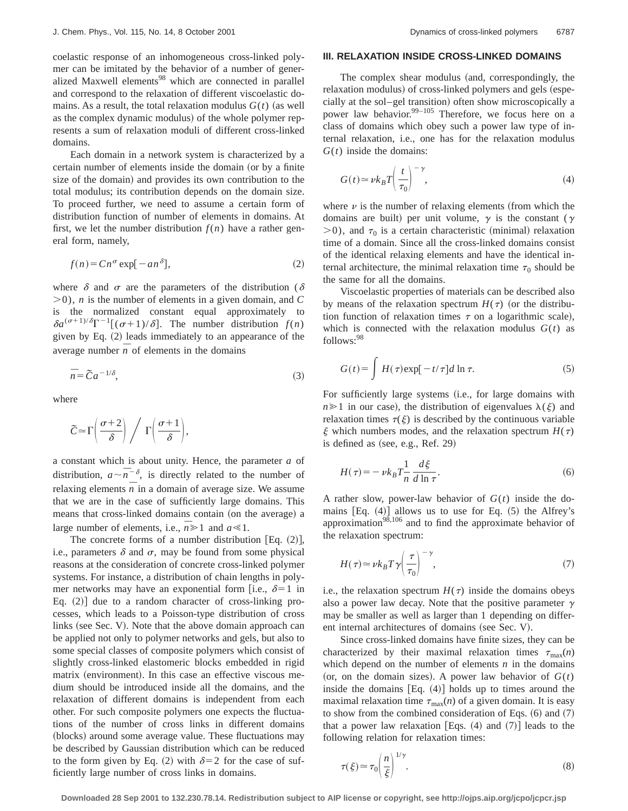coelastic response of an inhomogeneous cross-linked polymer can be imitated by the behavior of a number of generalized Maxwell elements<sup>98</sup> which are connected in parallel and correspond to the relaxation of different viscoelastic domains. As a result, the total relaxation modulus  $G(t)$  (as well as the complex dynamic modulus) of the whole polymer represents a sum of relaxation moduli of different cross-linked domains.

Each domain in a network system is characterized by a certain number of elements inside the domain (or by a finite size of the domain) and provides its own contribution to the total modulus; its contribution depends on the domain size. To proceed further, we need to assume a certain form of distribution function of number of elements in domains. At first, we let the number distribution  $f(n)$  have a rather general form, namely,

$$
f(n) = C n^{\sigma} \exp[-an^{\delta}],
$$
 (2)

where  $\delta$  and  $\sigma$  are the parameters of the distribution ( $\delta$  $(0, 0)$ , *n* is the number of elements in a given domain, and *C* is the normalized constant equal approximately to  $\delta a^{(\sigma+1)/\delta} \Gamma^{-1} [(\sigma+1)/\delta]$ . The number distribution  $f(n)$ given by Eq.  $(2)$  leads immediately to an appearance of the average number  $\overline{n}$  of elements in the domains

$$
\bar{n} = \tilde{C}a^{-1/\delta},\tag{3}
$$

where

$$
\widetilde{C} \!\simeq\! \Gamma\!\left(\frac{\sigma\!+\!2}{\delta}\right) \bigg/ \ \Gamma\!\left(\frac{\sigma\!+\!1}{\delta}\right)\!,
$$

a constant which is about unity. Hence, the parameter *a* of distribution,  $a \sim \overline{n}^{-\delta}$ , is directly related to the number of relaxing elements  $\overline{n}$  in a domain of average size. We assume that we are in the case of sufficiently large domains. This means that cross-linked domains contain (on the average) a large number of elements, i.e.,  $\overline{n} \ge 1$  and  $a \le 1$ .

The concrete forms of a number distribution [Eq.  $(2)$ ], i.e., parameters  $\delta$  and  $\sigma$ , may be found from some physical reasons at the consideration of concrete cross-linked polymer systems. For instance, a distribution of chain lengths in polymer networks may have an exponential form [i.e.,  $\delta=1$  in Eq.  $(2)$  due to a random character of cross-linking processes, which leads to a Poisson-type distribution of cross links (see Sec. V). Note that the above domain approach can be applied not only to polymer networks and gels, but also to some special classes of composite polymers which consist of slightly cross-linked elastomeric blocks embedded in rigid matrix (environment). In this case an effective viscous medium should be introduced inside all the domains, and the relaxation of different domains is independent from each other. For such composite polymers one expects the fluctuations of the number of cross links in different domains (blocks) around some average value. These fluctuations may be described by Gaussian distribution which can be reduced to the form given by Eq. (2) with  $\delta=2$  for the case of sufficiently large number of cross links in domains.

## **III. RELAXATION INSIDE CROSS-LINKED DOMAINS**

The complex shear modulus (and, correspondingly, the relaxation modulus) of cross-linked polymers and gels (especially at the sol–gel transition) often show microscopically a power law behavior. $99-105$  Therefore, we focus here on a class of domains which obey such a power law type of internal relaxation, i.e., one has for the relaxation modulus  $G(t)$  inside the domains:

$$
G(t) \approx \nu k_B T \left(\frac{t}{\tau_0}\right)^{-\gamma},\tag{4}
$$

where  $\nu$  is the number of relaxing elements (from which the domains are built) per unit volume,  $\gamma$  is the constant ( $\gamma$  $>0$ ), and  $\tau_0$  is a certain characteristic (minimal) relaxation time of a domain. Since all the cross-linked domains consist of the identical relaxing elements and have the identical internal architecture, the minimal relaxation time  $\tau_0$  should be the same for all the domains.

Viscoelastic properties of materials can be described also by means of the relaxation spectrum  $H(\tau)$  (or the distribution function of relaxation times  $\tau$  on a logarithmic scale), which is connected with the relaxation modulus  $G(t)$  as follows:98

$$
G(t) = \int H(\tau) \exp[-t/\tau] d\ln \tau.
$$
 (5)

For sufficiently large systems (i.e., for large domains with  $n \geq 1$  in our case), the distribution of eigenvalues  $\lambda(\xi)$  and relaxation times  $\tau(\xi)$  is described by the continuous variable  $\xi$  which numbers modes, and the relaxation spectrum  $H(\tau)$ is defined as  $(see, e.g., Ref. 29)$ 

$$
H(\tau) = -\nu k_B T \frac{1}{n} \frac{d\xi}{d\ln \tau}.
$$
 (6)

A rather slow, power-law behavior of *G*(*t*) inside the domains  $[Eq. (4)]$  allows us to use for Eq.  $(5)$  the Alfrey's approximation $98,106$  and to find the approximate behavior of the relaxation spectrum:

$$
H(\tau) \simeq \nu k_B T \gamma \left(\frac{\tau}{\tau_0}\right)^{-\gamma},\tag{7}
$$

i.e., the relaxation spectrum  $H(\tau)$  inside the domains obeys also a power law decay. Note that the positive parameter  $\gamma$ may be smaller as well as larger than 1 depending on different internal architectures of domains (see Sec. V).

Since cross-linked domains have finite sizes, they can be characterized by their maximal relaxation times  $\tau_{\text{max}}(n)$ which depend on the number of elements  $n$  in the domains (or, on the domain sizes). A power law behavior of  $G(t)$ inside the domains  $[Eq. (4)]$  holds up to times around the maximal relaxation time  $\tau_{\text{max}}(n)$  of a given domain. It is easy to show from the combined consideration of Eqs.  $(6)$  and  $(7)$ that a power law relaxation [Eqs.  $(4)$  and  $(7)$ ] leads to the following relation for relaxation times:

$$
\tau(\xi) \approx \tau_0 \left(\frac{n}{\xi}\right)^{1/\gamma}.\tag{8}
$$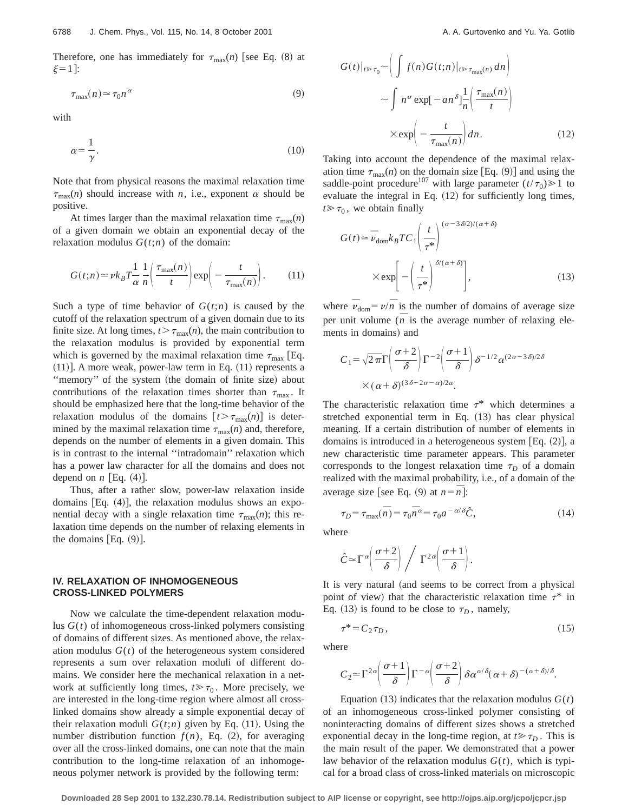Therefore, one has immediately for  $\tau_{\text{max}}(n)$  [see Eq. (8) at  $\xi=1$ :

$$
\tau_{\text{max}}(n) \simeq \tau_0 n^{\alpha} \tag{9}
$$

with

$$
\alpha = \frac{1}{\gamma}.\tag{10}
$$

Note that from physical reasons the maximal relaxation time  $\tau_{\text{max}}(n)$  should increase with *n*, i.e., exponent  $\alpha$  should be positive.

At times larger than the maximal relaxation time  $\tau_{\text{max}}(n)$ of a given domain we obtain an exponential decay of the relaxation modulus  $G(t; n)$  of the domain:

$$
G(t;n) \simeq \nu k_B T \frac{1}{\alpha} \frac{1}{n} \left( \frac{\tau_{\text{max}}(n)}{t} \right) \exp \left( - \frac{t}{\tau_{\text{max}}(n)} \right). \tag{11}
$$

Such a type of time behavior of  $G(t;n)$  is caused by the cutoff of the relaxation spectrum of a given domain due to its finite size. At long times,  $t > \tau_{\text{max}}(n)$ , the main contribution to the relaxation modulus is provided by exponential term which is governed by the maximal relaxation time  $\tau_{\text{max}}$  [Eq.  $(11)$ ]. A more weak, power-law term in Eq.  $(11)$  represents a "memory" of the system (the domain of finite size) about contributions of the relaxation times shorter than  $\tau_{\text{max}}$ . It should be emphasized here that the long-time behavior of the relaxation modulus of the domains  $[t > \tau_{\text{max}}(n)]$  is determined by the maximal relaxation time  $\tau_{\text{max}}(n)$  and, therefore, depends on the number of elements in a given domain. This is in contrast to the internal ''intradomain'' relaxation which has a power law character for all the domains and does not depend on  $n$  [Eq. (4)].

Thus, after a rather slow, power-law relaxation inside domains [Eq.  $(4)$ ], the relaxation modulus shows an exponential decay with a single relaxation time  $\tau_{\text{max}}(n)$ ; this relaxation time depends on the number of relaxing elements in the domains  $[Eq. (9)].$ 

## **IV. RELAXATION OF INHOMOGENEOUS CROSS-LINKED POLYMERS**

Now we calculate the time-dependent relaxation modulus *G*(*t*) of inhomogeneous cross-linked polymers consisting of domains of different sizes. As mentioned above, the relaxation modulus  $G(t)$  of the heterogeneous system considered represents a sum over relaxation moduli of different domains. We consider here the mechanical relaxation in a network at sufficiently long times,  $t \ge \tau_0$ . More precisely, we are interested in the long-time region where almost all crosslinked domains show already a simple exponential decay of their relaxation moduli  $G(t;n)$  given by Eq. (11). Using the number distribution function  $f(n)$ , Eq.  $(2)$ , for averaging over all the cross-linked domains, one can note that the main contribution to the long-time relaxation of an inhomogeneous polymer network is provided by the following term:

$$
G(t)|_{t \gg \tau_0} \sim \left( \int f(n)G(t;n)|_{t \gg \tau_{\text{max}}(n)} dn \right)
$$

$$
\sim \int n^{\sigma} \exp[-an^{\delta}] \frac{1}{n} \left( \frac{\tau_{\text{max}}(n)}{t} \right)
$$

$$
\times \exp\left(-\frac{t}{\tau_{\text{max}}(n)}\right) dn. \tag{12}
$$

Taking into account the dependence of the maximal relaxation time  $\tau_{\text{max}}(n)$  on the domain size [Eq. (9)] and using the saddle-point procedure<sup>107</sup> with large parameter  $(t/\tau_0) \ge 1$  to evaluate the integral in Eq.  $(12)$  for sufficiently long times,  $t \geq \tau_0$ , we obtain finally

$$
G(t) \approx \bar{\nu}_{\text{dom}} k_B T C_1 \left(\frac{t}{\tau^*}\right)^{(\sigma - 3\delta/2)/(\alpha + \delta)}
$$

$$
\times \exp\left[-\left(\frac{t}{\tau^*}\right)^{\delta/(\alpha + \delta)}\right],
$$
(13)

where  $\overline{\nu}_{\text{dom}} = \nu/\overline{n}$  is the number of domains of average size per unit volume  $(\bar{n}$  is the average number of relaxing elements in domains) and

$$
C_1 = \sqrt{2\pi}\Gamma\left(\frac{\sigma+2}{\delta}\right)\Gamma^{-2}\left(\frac{\sigma+1}{\delta}\right)\delta^{-1/2}\alpha^{(2\sigma-3\delta)/2\delta}
$$

$$
\times (\alpha+\delta)^{(3\delta-2\sigma-\alpha)/2\alpha}.
$$

The characteristic relaxation time  $\tau^*$  which determines a stretched exponential term in Eq. (13) has clear physical meaning. If a certain distribution of number of elements in domains is introduced in a heterogeneous system [Eq.  $(2)$ ], a new characteristic time parameter appears. This parameter corresponds to the longest relaxation time  $\tau_D$  of a domain realized with the maximal probability, i.e., of a domain of the average size [see Eq. (9) at  $n = \overline{n}$ ]:

$$
\tau_D = \tau_{\text{max}}(\bar{n}) = \tau_0 \bar{n}^{\alpha} = \tau_0 a^{-\alpha/\delta} \hat{C},\tag{14}
$$

where

$$
\hat{C} \approx \Gamma^{\alpha} \left( \frac{\sigma + 2}{\delta} \right) / \Gamma^{2\alpha} \left( \frac{\sigma + 1}{\delta} \right).
$$

It is very natural (and seems to be correct from a physical point of view) that the characteristic relaxation time  $\tau^*$  in Eq. (13) is found to be close to  $\tau_D$ , namely,

$$
\tau^* = C_2 \tau_D, \tag{15}
$$

where

$$
C_2 \approx \Gamma^{2\alpha} \left( \frac{\sigma+1}{\delta} \right) \Gamma^{-\alpha} \left( \frac{\sigma+2}{\delta} \right) \delta \alpha^{\alpha/\delta} (\alpha+\delta)^{-(\alpha+\delta)/\delta}.
$$

Equation  $(13)$  indicates that the relaxation modulus  $G(t)$ of an inhomogeneous cross-linked polymer consisting of noninteracting domains of different sizes shows a stretched exponential decay in the long-time region, at  $t \ge \tau_D$ . This is the main result of the paper. We demonstrated that a power law behavior of the relaxation modulus *G*(*t*), which is typical for a broad class of cross-linked materials on microscopic

**Downloaded 28 Sep 2001 to 132.230.78.14. Redistribution subject to AIP license or copyright, see http://ojps.aip.org/jcpo/jcpcr.jsp**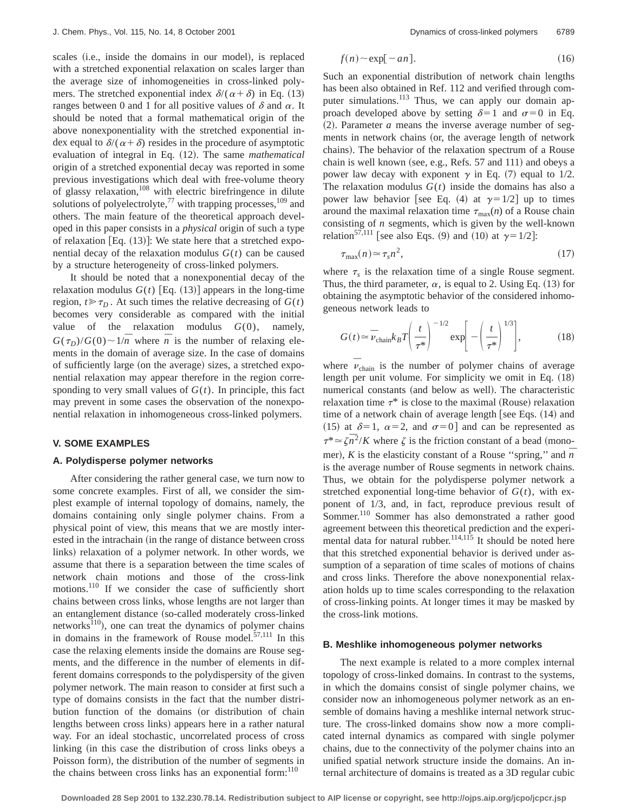scales (i.e., inside the domains in our model), is replaced with a stretched exponential relaxation on scales larger than the average size of inhomogeneities in cross-linked polymers. The stretched exponential index  $\delta/(\alpha+\delta)$  in Eq. (13) ranges between 0 and 1 for all positive values of  $\delta$  and  $\alpha$ . It should be noted that a formal mathematical origin of the above nonexponentiality with the stretched exponential index equal to  $\delta/(\alpha+\delta)$  resides in the procedure of asymptotic evaluation of integral in Eq.  $(12)$ . The same *mathematical* origin of a stretched exponential decay was reported in some previous investigations which deal with free-volume theory of glassy relaxation, $108$  with electric birefringence in dilute solutions of polyelectrolyte, $^{77}$  with trapping processes, $^{109}$  and others. The main feature of the theoretical approach developed in this paper consists in a *physical* origin of such a type of relaxation [Eq.  $(13)$ ]: We state here that a stretched exponential decay of the relaxation modulus  $G(t)$  can be caused by a structure heterogeneity of cross-linked polymers.

It should be noted that a nonexponential decay of the relaxation modulus  $G(t)$  [Eq. (13)] appears in the long-time region,  $t \ge \tau_D$ . At such times the relative decreasing of  $G(t)$ becomes very considerable as compared with the initial value of the relaxation modulus *G*(0), namely,  $G(\tau_D)/G(0) \sim 1/\overline{n}$  where  $\overline{n}$  is the number of relaxing elements in the domain of average size. In the case of domains of sufficiently large (on the average) sizes, a stretched exponential relaxation may appear therefore in the region corresponding to very small values of  $G(t)$ . In principle, this fact may prevent in some cases the observation of the nonexponential relaxation in inhomogeneous cross-linked polymers.

## **V. SOME EXAMPLES**

#### **A. Polydisperse polymer networks**

After considering the rather general case, we turn now to some concrete examples. First of all, we consider the simplest example of internal topology of domains, namely, the domains containing only single polymer chains. From a physical point of view, this means that we are mostly interested in the intrachain (in the range of distance between cross links) relaxation of a polymer network. In other words, we assume that there is a separation between the time scales of network chain motions and those of the cross-link motions.<sup>110</sup> If we consider the case of sufficiently short chains between cross links, whose lengths are not larger than an entanglement distance (so-called moderately cross-linked networks<sup>110</sup>), one can treat the dynamics of polymer chains in domains in the framework of Rouse model. $57,111$  In this case the relaxing elements inside the domains are Rouse segments, and the difference in the number of elements in different domains corresponds to the polydispersity of the given polymer network. The main reason to consider at first such a type of domains consists in the fact that the number distribution function of the domains (or distribution of chain lengths between cross links) appears here in a rather natural way. For an ideal stochastic, uncorrelated process of cross linking (in this case the distribution of cross links obeys a Poisson form), the distribution of the number of segments in the chains between cross links has an exponential form: $110$ 

$$
f(n) \sim \exp[-an]. \tag{16}
$$

Such an exponential distribution of network chain lengths has been also obtained in Ref. 112 and verified through computer simulations.<sup>113</sup> Thus, we can apply our domain approach developed above by setting  $\delta=1$  and  $\sigma=0$  in Eq.  $(2)$ . Parameter *a* means the inverse average number of segments in network chains (or, the average length of network chains). The behavior of the relaxation spectrum of a Rouse chain is well known (see, e.g., Refs.  $57$  and  $111$ ) and obeys a power law decay with exponent  $\gamma$  in Eq. (7) equal to 1/2. The relaxation modulus  $G(t)$  inside the domains has also a power law behavior [see Eq. (4) at  $\gamma=1/2$  up to times around the maximal relaxation time  $\tau_{\text{max}}(n)$  of a Rouse chain consisting of *n* segments, which is given by the well-known relation<sup>57,111</sup> [see also Eqs. (9) and (10) at  $\gamma = 1/2$ ]:

$$
\tau_{\text{max}}(n) \simeq \tau_s n^2,\tag{17}
$$

where  $\tau_s$  is the relaxation time of a single Rouse segment. Thus, the third parameter,  $\alpha$ , is equal to 2. Using Eq. (13) for obtaining the asymptotic behavior of the considered inhomogeneous network leads to

$$
G(t) \approx \bar{\nu}_{\text{chain}} k_B T \left(\frac{t}{\tau^*}\right)^{-1/2} \exp\left[-\left(\frac{t}{\tau^*}\right)^{1/3}\right],\tag{18}
$$

where  $\overline{v}_{\text{chain}}$  is the number of polymer chains of average length per unit volume. For simplicity we omit in Eq.  $(18)$ numerical constants (and below as well). The characteristic relaxation time  $\tau^*$  is close to the maximal (Rouse) relaxation time of a network chain of average length [see Eqs.  $(14)$  and (15) at  $\delta=1$ ,  $\alpha=2$ , and  $\sigma=0$ ] and can be represented as  $\tau^* \approx \zeta \bar{n}^2/K$  where  $\zeta$  is the friction constant of a bead (monomer),  $K$  is the elasticity constant of a Rouse "spring," and  $\overline{n}$ is the average number of Rouse segments in network chains. Thus, we obtain for the polydisperse polymer network a stretched exponential long-time behavior of  $G(t)$ , with exponent of 1/3, and, in fact, reproduce previous result of Sommer.110 Sommer has also demonstrated a rather good agreement between this theoretical prediction and the experimental data for natural rubber.<sup>114,115</sup> It should be noted here that this stretched exponential behavior is derived under assumption of a separation of time scales of motions of chains and cross links. Therefore the above nonexponential relaxation holds up to time scales corresponding to the relaxation of cross-linking points. At longer times it may be masked by the cross-link motions.

#### **B. Meshlike inhomogeneous polymer networks**

The next example is related to a more complex internal topology of cross-linked domains. In contrast to the systems, in which the domains consist of single polymer chains, we consider now an inhomogeneous polymer network as an ensemble of domains having a meshlike internal network structure. The cross-linked domains show now a more complicated internal dynamics as compared with single polymer chains, due to the connectivity of the polymer chains into an unified spatial network structure inside the domains. An internal architecture of domains is treated as a 3D regular cubic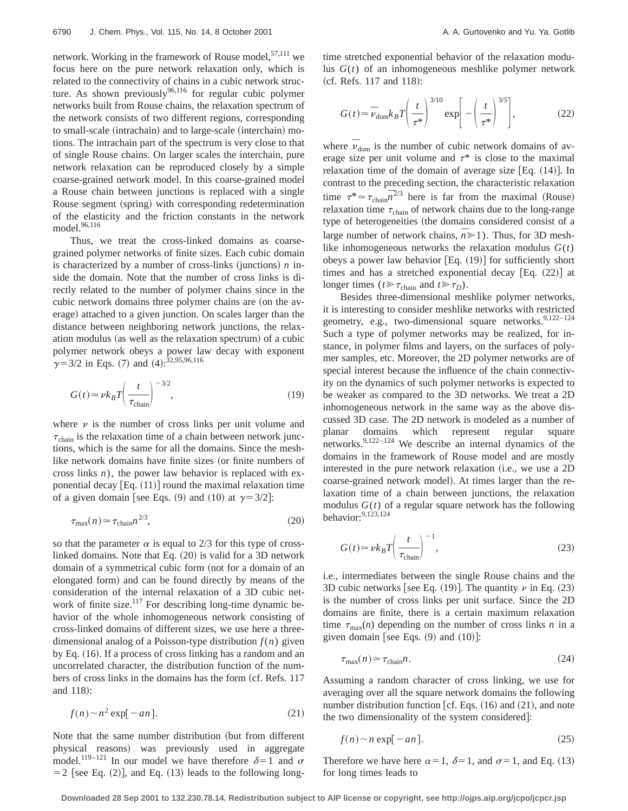network. Working in the framework of Rouse model,  $57,111$  we focus here on the pure network relaxation only, which is related to the connectivity of chains in a cubic network structure. As shown previously<sup>96,116</sup> for regular cubic polymer networks built from Rouse chains, the relaxation spectrum of the network consists of two different regions, corresponding to small-scale (intrachain) and to large-scale (interchain) motions. The intrachain part of the spectrum is very close to that of single Rouse chains. On larger scales the interchain, pure network relaxation can be reproduced closely by a simple coarse-grained network model. In this coarse-grained model a Rouse chain between junctions is replaced with a single Rouse segment (spring) with corresponding redetermination of the elasticity and the friction constants in the network model.<sup>96,116</sup>

Thus, we treat the cross-linked domains as coarsegrained polymer networks of finite sizes. Each cubic domain is characterized by a number of cross-links (junctions)  $n$  inside the domain. Note that the number of cross links is directly related to the number of polymer chains since in the cubic network domains three polymer chains are (on the average) attached to a given junction. On scales larger than the distance between neighboring network junctions, the relaxation modulus (as well as the relaxation spectrum) of a cubic polymer network obeys a power law decay with exponent  $\gamma$ = 3/2 in Eqs. (7) and (4):<sup>32,95,96,116</sup>

$$
G(t) \approx \nu k_B T \left(\frac{t}{\tau_{\text{chain}}}\right)^{-3/2},\tag{19}
$$

where  $\nu$  is the number of cross links per unit volume and  $\tau_{chain}$  is the relaxation time of a chain between network junctions, which is the same for all the domains. Since the meshlike network domains have finite sizes (or finite numbers of cross links *n*), the power law behavior is replaced with exponential decay  $[Eq. (11)]$  round the maximal relaxation time of a given domain [see Eqs. (9) and (10) at  $\gamma = 3/2$ ]:

$$
\tau_{\text{max}}(n) \simeq \tau_{\text{chain}} n^{2/3},\tag{20}
$$

so that the parameter  $\alpha$  is equal to 2/3 for this type of crosslinked domains. Note that Eq.  $(20)$  is valid for a 3D network domain of a symmetrical cubic form (not for a domain of an elongated form) and can be found directly by means of the consideration of the internal relaxation of a 3D cubic network of finite size.<sup>117</sup> For describing long-time dynamic behavior of the whole inhomogeneous network consisting of cross-linked domains of different sizes, we use here a threedimensional analog of a Poisson-type distribution  $f(n)$  given by Eq.  $(16)$ . If a process of cross linking has a random and an uncorrelated character, the distribution function of the numbers of cross links in the domains has the form (cf. Refs. 117 and 118):

$$
f(n) \sim n^2 \exp[-an]. \tag{21}
$$

Note that the same number distribution (but from different physical reasons) was previously used in aggregate model.<sup>119–121</sup> In our model we have therefore  $\delta=1$  and  $\sigma$  $=$  2 [see Eq. (2)], and Eq. (13) leads to the following longtime stretched exponential behavior of the relaxation modulus  $G(t)$  of an inhomogeneous meshlike polymer network  $(cf. Refs. 117 and 118):$ 

$$
G(t) \approx \bar{\nu}_{\text{dom}} k_B T \left(\frac{t}{\tau^*}\right)^{3/10} \exp\left[-\left(\frac{t}{\tau^*}\right)^{3/5}\right],\tag{22}
$$

where  $\bar{\nu}_{dom}$  is the number of cubic network domains of average size per unit volume and  $\tau^*$  is close to the maximal relaxation time of the domain of average size  $[Eq. (14)]$ . In contrast to the preceding section, the characteristic relaxation time  $\tau^* \approx \tau_{\text{chain}} \bar{n}^{2/3}$  here is far from the maximal (Rouse) relaxation time  $\tau_{chain}$  of network chains due to the long-range type of heterogeneities (the domains considered consist of a large number of network chains,  $\overline{n} \ge 1$ ). Thus, for 3D meshlike inhomogeneous networks the relaxation modulus  $G(t)$ obeys a power law behavior  $[Eq. (19)]$  for sufficiently short times and has a stretched exponential decay  $[Eq. (22)]$  at longer times ( $t \ge \tau_{chain}$  and  $t \ge \tau_D$ ).

Besides three-dimensional meshlike polymer networks, it is interesting to consider meshlike networks with restricted geometry, e.g., two-dimensional square networks.<sup>9,122-124</sup> Such a type of polymer networks may be realized, for instance, in polymer films and layers, on the surfaces of polymer samples, etc. Moreover, the 2D polymer networks are of special interest because the influence of the chain connectivity on the dynamics of such polymer networks is expected to be weaker as compared to the 3D networks. We treat a 2D inhomogeneous network in the same way as the above discussed 3D case. The 2D network is modeled as a number of planar domains which represent regular square networks.9,122–124 We describe an internal dynamics of the domains in the framework of Rouse model and are mostly interested in the pure network relaxation (i.e., we use a 2D coarse-grained network model). At times larger than the relaxation time of a chain between junctions, the relaxation modulus  $G(t)$  of a regular square network has the following behavior: $9,123,124$ 

$$
G(t) \approx \nu k_B T \left(\frac{t}{\tau_{\text{chain}}}\right)^{-1},\tag{23}
$$

i.e., intermediates between the single Rouse chains and the 3D cubic networks [see Eq. (19)]. The quantity  $\nu$  in Eq. (23) is the number of cross links per unit surface. Since the 2D domains are finite, there is a certain maximum relaxation time  $\tau_{\text{max}}(n)$  depending on the number of cross links *n* in a given domain [see Eqs.  $(9)$  and  $(10)$ ]:

$$
\tau_{\text{max}}(n) \simeq \tau_{\text{chain}} n. \tag{24}
$$

Assuming a random character of cross linking, we use for averaging over all the square network domains the following number distribution function  $\lceil cf. \text{Eqs.} (16) \text{ and } (21)$ , and note the two dimensionality of the system considered]:

$$
f(n) \sim n \exp[-an]. \tag{25}
$$

Therefore we have here  $\alpha=1$ ,  $\delta=1$ , and  $\sigma=1$ , and Eq. (13) for long times leads to

**Downloaded 28 Sep 2001 to 132.230.78.14. Redistribution subject to AIP license or copyright, see http://ojps.aip.org/jcpo/jcpcr.jsp**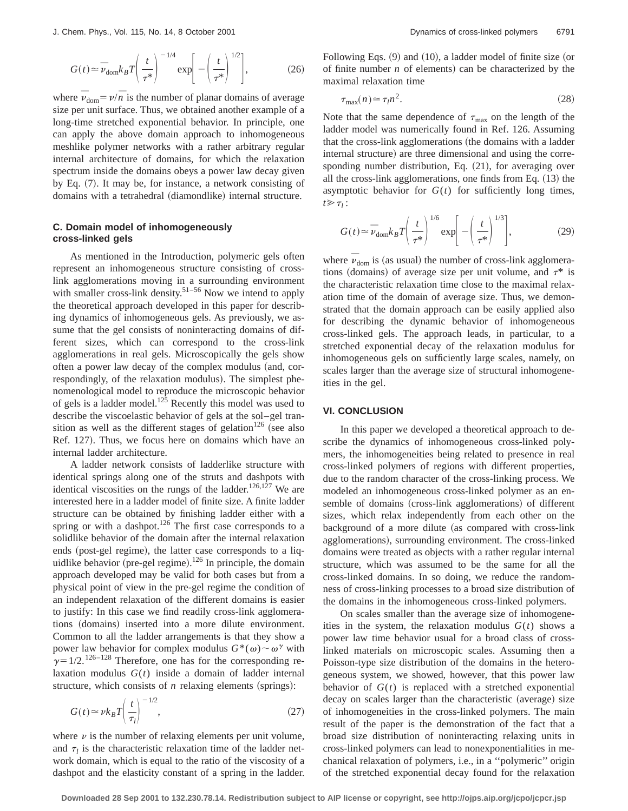$$
G(t) \approx \bar{v}_{\text{dom}} k_B T \left(\frac{t}{\tau^*}\right)^{-1/4} \exp\left[-\left(\frac{t}{\tau^*}\right)^{1/2}\right],\tag{26}
$$

where  $\vec{v}_{\text{dom}} = \nu/\vec{n}$  is the number of planar domains of average size per unit surface. Thus, we obtained another example of a long-time stretched exponential behavior. In principle, one can apply the above domain approach to inhomogeneous meshlike polymer networks with a rather arbitrary regular internal architecture of domains, for which the relaxation spectrum inside the domains obeys a power law decay given by Eq.  $(7)$ . It may be, for instance, a network consisting of domains with a tetrahedral (diamondlike) internal structure.

## **C. Domain model of inhomogeneously cross-linked gels**

As mentioned in the Introduction, polymeric gels often represent an inhomogeneous structure consisting of crosslink agglomerations moving in a surrounding environment with smaller cross-link density.<sup>51–56</sup> Now we intend to apply the theoretical approach developed in this paper for describing dynamics of inhomogeneous gels. As previously, we assume that the gel consists of noninteracting domains of different sizes, which can correspond to the cross-link agglomerations in real gels. Microscopically the gels show often a power law decay of the complex modulus (and, correspondingly, of the relaxation modulus). The simplest phenomenological model to reproduce the microscopic behavior of gels is a ladder model.<sup>125</sup> Recently this model was used to describe the viscoelastic behavior of gels at the sol–gel transition as well as the different stages of gelation<sup>126</sup> (see also Ref. 127). Thus, we focus here on domains which have an internal ladder architecture.

A ladder network consists of ladderlike structure with identical springs along one of the struts and dashpots with identical viscosities on the rungs of the ladder.<sup>126,127</sup> We are interested here in a ladder model of finite size. A finite ladder structure can be obtained by finishing ladder either with a spring or with a dashpot.<sup>126</sup> The first case corresponds to a solidlike behavior of the domain after the internal relaxation ends (post-gel regime), the latter case corresponds to a liquidlike behavior (pre-gel regime).<sup>126</sup> In principle, the domain approach developed may be valid for both cases but from a physical point of view in the pre-gel regime the condition of an independent relaxation of the different domains is easier to justify: In this case we find readily cross-link agglomerations (domains) inserted into a more dilute environment. Common to all the ladder arrangements is that they show a power law behavior for complex modulus  $G^*(\omega) \sim \omega^{\gamma}$  with  $\gamma$ =1/2.<sup>126–128</sup> Therefore, one has for the corresponding relaxation modulus *G*(*t*) inside a domain of ladder internal structure, which consists of  $n$  relaxing elements (springs):

$$
G(t) \approx \nu k_B T \left(\frac{t}{\tau_l}\right)^{-1/2},\tag{27}
$$

where  $\nu$  is the number of relaxing elements per unit volume, and  $\tau_l$  is the characteristic relaxation time of the ladder network domain, which is equal to the ratio of the viscosity of a dashpot and the elasticity constant of a spring in the ladder. Following Eqs.  $(9)$  and  $(10)$ , a ladder model of finite size (or of finite number  $n$  of elements) can be characterized by the maximal relaxation time

$$
\tau_{\text{max}}(n) \simeq \tau_l n^2. \tag{28}
$$

Note that the same dependence of  $\tau_{\text{max}}$  on the length of the ladder model was numerically found in Ref. 126. Assuming that the cross-link agglomerations (the domains with a ladder internal structure) are three dimensional and using the corresponding number distribution, Eq.  $(21)$ , for averaging over all the cross-link agglomerations, one finds from Eq.  $(13)$  the asymptotic behavior for  $G(t)$  for sufficiently long times,  $t \geqslant \tau_i$ :

$$
G(t) \approx \bar{\nu}_{\text{dom}} k_B T \left(\frac{t}{\tau^*}\right)^{1/6} \exp\left[-\left(\frac{t}{\tau^*}\right)^{1/3}\right],\tag{29}
$$

where  $\vec{v}_{\text{dom}}$  is (as usual) the number of cross-link agglomerations (domains) of average size per unit volume, and  $\tau^*$  is the characteristic relaxation time close to the maximal relaxation time of the domain of average size. Thus, we demonstrated that the domain approach can be easily applied also for describing the dynamic behavior of inhomogeneous cross-linked gels. The approach leads, in particular, to a stretched exponential decay of the relaxation modulus for inhomogeneous gels on sufficiently large scales, namely, on scales larger than the average size of structural inhomogeneities in the gel.

## **VI. CONCLUSION**

In this paper we developed a theoretical approach to describe the dynamics of inhomogeneous cross-linked polymers, the inhomogeneities being related to presence in real cross-linked polymers of regions with different properties, due to the random character of the cross-linking process. We modeled an inhomogeneous cross-linked polymer as an ensemble of domains (cross-link agglomerations) of different sizes, which relax independently from each other on the background of a more dilute (as compared with cross-link agglomerations), surrounding environment. The cross-linked domains were treated as objects with a rather regular internal structure, which was assumed to be the same for all the cross-linked domains. In so doing, we reduce the randomness of cross-linking processes to a broad size distribution of the domains in the inhomogeneous cross-linked polymers.

On scales smaller than the average size of inhomogeneities in the system, the relaxation modulus  $G(t)$  shows a power law time behavior usual for a broad class of crosslinked materials on microscopic scales. Assuming then a Poisson-type size distribution of the domains in the heterogeneous system, we showed, however, that this power law behavior of  $G(t)$  is replaced with a stretched exponential decay on scales larger than the characteristic (average) size of inhomogeneities in the cross-linked polymers. The main result of the paper is the demonstration of the fact that a broad size distribution of noninteracting relaxing units in cross-linked polymers can lead to nonexponentialities in mechanical relaxation of polymers, i.e., in a ''polymeric'' origin of the stretched exponential decay found for the relaxation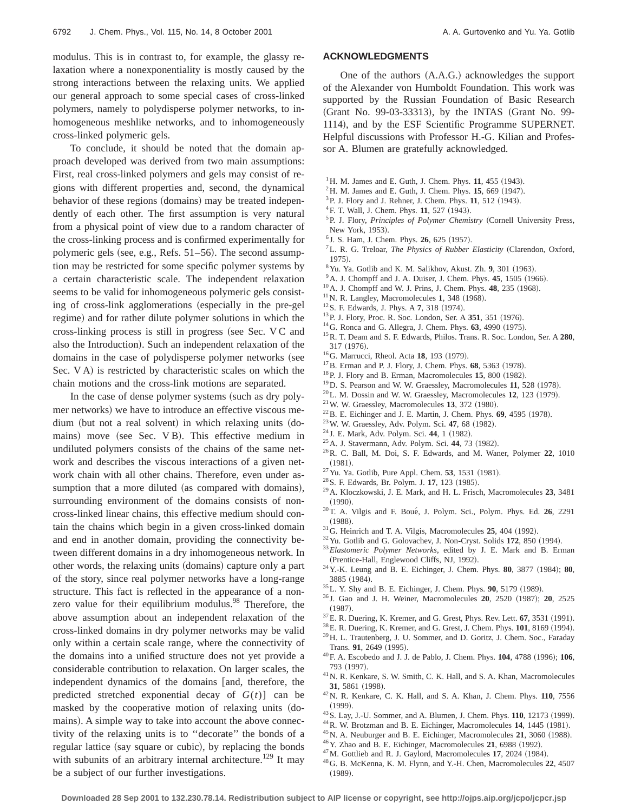To conclude, it should be noted that the domain approach developed was derived from two main assumptions: First, real cross-linked polymers and gels may consist of regions with different properties and, second, the dynamical behavior of these regions (domains) may be treated independently of each other. The first assumption is very natural from a physical point of view due to a random character of the cross-linking process and is confirmed experimentally for polymeric gels (see, e.g., Refs.  $51–56$ ). The second assumption may be restricted for some specific polymer systems by a certain characteristic scale. The independent relaxation seems to be valid for inhomogeneous polymeric gels consisting of cross-link agglomerations (especially in the pre-gel regime) and for rather dilute polymer solutions in which the cross-linking process is still in progress (see Sec.  $VC$  and also the Introduction). Such an independent relaxation of the domains in the case of polydisperse polymer networks (see Sec. V A) is restricted by characteristic scales on which the chain motions and the cross-link motions are separated.

In the case of dense polymer systems (such as dry polymer networks) we have to introduce an effective viscous medium (but not a real solvent) in which relaxing units (domains) move (see Sec. V B). This effective medium in undiluted polymers consists of the chains of the same network and describes the viscous interactions of a given network chain with all other chains. Therefore, even under assumption that a more diluted (as compared with domains), surrounding environment of the domains consists of noncross-linked linear chains, this effective medium should contain the chains which begin in a given cross-linked domain and end in another domain, providing the connectivity between different domains in a dry inhomogeneous network. In other words, the relaxing units (domains) capture only a part of the story, since real polymer networks have a long-range structure. This fact is reflected in the appearance of a nonzero value for their equilibrium modulus.<sup>98</sup> Therefore, the above assumption about an independent relaxation of the cross-linked domains in dry polymer networks may be valid only within a certain scale range, where the connectivity of the domains into a unified structure does not yet provide a considerable contribution to relaxation. On larger scales, the independent dynamics of the domains [and, therefore, the predicted stretched exponential decay of  $G(t)$ ] can be masked by the cooperative motion of relaxing units (domains). A simple way to take into account the above connectivity of the relaxing units is to ''decorate'' the bonds of a regular lattice (say square or cubic), by replacing the bonds with subunits of an arbitrary internal architecture.<sup>129</sup> It may be a subject of our further investigations.

#### **ACKNOWLEDGMENTS**

One of the authors (A.A.G.) acknowledges the support of the Alexander von Humboldt Foundation. This work was supported by the Russian Foundation of Basic Research (Grant No. 99-03-33313), by the INTAS (Grant No. 99-1114), and by the ESF Scientific Programme SUPERNET. Helpful discussions with Professor H.-G. Kilian and Professor A. Blumen are gratefully acknowledged.

- $1$ <sup>1</sup> H. M. James and E. Guth, J. Chem. Phys. **11**, 455 (1943).
- $^{2}$ H. M. James and E. Guth, J. Chem. Phys. **15**, 669 (1947).
- <sup>3</sup>P. J. Flory and J. Rehner, J. Chem. Phys. **11**, 512 (1943).
- <sup>4</sup> F. T. Wall, J. Chem. Phys. **11**, 527 (1943).
- <sup>5</sup>P. J. Flory, *Principles of Polymer Chemistry* (Cornell University Press, New York, 1953).
- <sup>6</sup> J. S. Ham, J. Chem. Phys. **26**, 625 (1957).
- <sup>7</sup>L. R. G. Treloar, *The Physics of Rubber Elasticity* (Clarendon, Oxford, 1975).
- ${}^{8}$  Yu. Ya. Gotlib and K. M. Salikhov, Akust. Zh.  $9$ , 301 (1963).
- $9^9$ A. J. Chompff and J. A. Duiser, J. Chem. Phys.  $45$ , 1505 (1966).
- $10$  A. J. Chompff and W. J. Prins, J. Chem. Phys. **48**, 235 (1968).
- $11$ N. R. Langley, Macromolecules 1, 348 (1968).
- <sup>12</sup> S. F. Edwards, J. Phys. A 7, 318 (1974).
- <sup>13</sup> P. J. Flory, Proc. R. Soc. London, Ser. A 351, 351 (1976).
- $14$  G. Ronca and G. Allegra, J. Chem. Phys.  $63$ , 4990  $(1975)$ .
- 15R. T. Deam and S. F. Edwards, Philos. Trans. R. Soc. London, Ser. A **280**,  $317 (1976)$ .
- <sup>16</sup>G. Marrucci, Rheol. Acta **18**, 193 (1979).
- <sup>17</sup>B. Erman and P. J. Flory, J. Chem. Phys. **68**, 5363 (1978).
- <sup>18</sup>P. J. Flory and B. Erman, Macromolecules **15**, 800 (1982).
- <sup>19</sup>D. S. Pearson and W. W. Graessley, Macromolecules **11**, 528 (1978).
- $^{20}$ L. M. Dossin and W. W. Graessley, Macromolecules **12**, 123 (1979).
- $21$  W. W. Graessley, Macromolecules **13**, 372 (1980).
- $22$ B. E. Eichinger and J. E. Martin, J. Chem. Phys.  $69$ ,  $4595$   $(1978)$ .
- <sup>23</sup> W. W. Graessley, Adv. Polym. Sci. **47**, 68 (1982).
- <sup>24</sup> J. E. Mark, Adv. Polym. Sci. **44**, 1 (1982).
- <sup>25</sup> A. J. Stavermann, Adv. Polym. Sci. **44**, 73 (1982).
- 26R. C. Ball, M. Doi, S. F. Edwards, and M. Waner, Polymer **22**, 1010  $(1981).$
- $27$ Yu. Ya. Gotlib, Pure Appl. Chem. **53**, 1531 (1981).
- <sup>28</sup> S. F. Edwards, Br. Polym. J. **17**, 123 (1985).
- 29A. Kloczkowski, J. E. Mark, and H. L. Frisch, Macromolecules **23**, 3481  $(1990).$
- 30T. A. Vilgis and F. Boue´, J. Polym. Sci., Polym. Phys. Ed. **26**, 2291  $(1988).$
- <sup>31</sup>G. Heinrich and T. A. Vilgis, Macromolecules **25**, 404 (1992).
- <sup>32</sup> Yu. Gotlib and G. Golovachev, J. Non-Cryst. Solids **172**, 850 (1994).
- <sup>33</sup>*Elastomeric Polymer Networks*, edited by J. E. Mark and B. Erman (Prentice-Hall, Englewood Cliffs, NJ, 1992).
- <sup>34</sup> Y.-K. Leung and B. E. Eichinger, J. Chem. Phys. **80**, 3877 (1984); **80**, 3885 (1984).
- <sup>35</sup>L. Y. Shy and B. E. Eichinger, J. Chem. Phys. **90**, 5179 (1989).
- <sup>36</sup> J. Gao and J. H. Weiner, Macromolecules **20**, 2520 (1987); **20**, 2525  $(1987).$
- $37$ E. R. Duering, K. Kremer, and G. Grest, Phys. Rev. Lett.  $67$ ,  $3531$  (1991).
- <sup>38</sup> E. R. Duering, K. Kremer, and G. Grest, J. Chem. Phys. **101**, 8169 (1994).
- 39H. L. Trautenberg, J. U. Sommer, and D. Goritz, J. Chem. Soc., Faraday Trans. 91, 2649 (1995).
- <sup>40</sup> F. A. Escobedo and J. J. de Pablo, J. Chem. Phys. **104**, 4788 (1996); **106**, 793 (1997).
- 41N. R. Kenkare, S. W. Smith, C. K. Hall, and S. A. Khan, Macromolecules 31, 5861 (1998).
- 42N. R. Kenkare, C. K. Hall, and S. A. Khan, J. Chem. Phys. **110**, 7556  $(1999)$ .
- <sup>43</sup>S. Lay, J.-U. Sommer, and A. Blumen, J. Chem. Phys. **110**, 12173 (1999).
- <sup>44</sup> R. W. Brotzman and B. E. Eichinger, Macromolecules **14**, 1445 (1981).
- <sup>45</sup> N. A. Neuburger and B. E. Eichinger, Macromolecules **21**, 3060 (1988).
- <sup>46</sup> Y. Zhao and B. E. Eichinger, Macromolecules **21**, 6988 (1992).
- <sup>47</sup>M. Gottlieb and R. J. Gaylord, Macromolecules 17, 2024 (1984).
- 48G. B. McKenna, K. M. Flynn, and Y.-H. Chen, Macromolecules **22**, 4507  $(1989).$